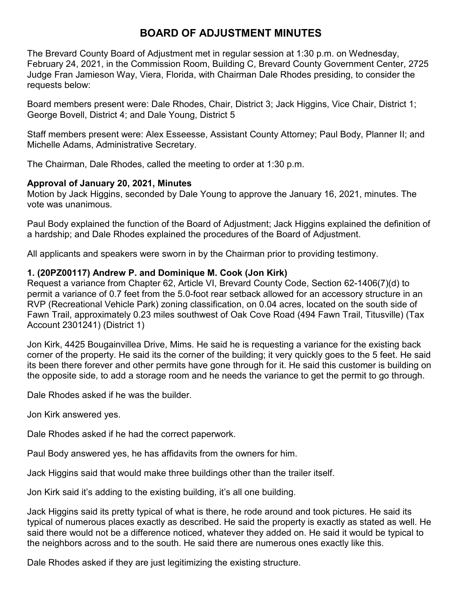## **BOARD OF ADJUSTMENT MINUTES**

The Brevard County Board of Adjustment met in regular session at 1:30 p.m. on Wednesday, February 24, 2021, in the Commission Room, Building C, Brevard County Government Center, 2725 Judge Fran Jamieson Way, Viera, Florida, with Chairman Dale Rhodes presiding, to consider the requests below:

Board members present were: Dale Rhodes, Chair, District 3; Jack Higgins, Vice Chair, District 1; George Bovell, District 4; and Dale Young, District 5

Staff members present were: Alex Esseesse, Assistant County Attorney; Paul Body, Planner II; and Michelle Adams, Administrative Secretary.

The Chairman, Dale Rhodes, called the meeting to order at 1:30 p.m.

## **Approval of January 20, 2021, Minutes**

Motion by Jack Higgins, seconded by Dale Young to approve the January 16, 2021, minutes. The vote was unanimous.

Paul Body explained the function of the Board of Adjustment; Jack Higgins explained the definition of a hardship; and Dale Rhodes explained the procedures of the Board of Adjustment.

All applicants and speakers were sworn in by the Chairman prior to providing testimony.

## **1. (20PZ00117) Andrew P. and Dominique M. Cook (Jon Kirk)**

Request a variance from Chapter 62, Article VI, Brevard County Code, Section 62-1406(7)(d) to permit a variance of 0.7 feet from the 5.0-foot rear setback allowed for an accessory structure in an RVP (Recreational Vehicle Park) zoning classification, on 0.04 acres, located on the south side of Fawn Trail, approximately 0.23 miles southwest of Oak Cove Road (494 Fawn Trail, Titusville) (Tax Account 2301241) (District 1)

Jon Kirk, 4425 Bougainvillea Drive, Mims. He said he is requesting a variance for the existing back corner of the property. He said its the corner of the building; it very quickly goes to the 5 feet. He said its been there forever and other permits have gone through for it. He said this customer is building on the opposite side, to add a storage room and he needs the variance to get the permit to go through.

Dale Rhodes asked if he was the builder.

Jon Kirk answered yes.

Dale Rhodes asked if he had the correct paperwork.

Paul Body answered yes, he has affidavits from the owners for him.

Jack Higgins said that would make three buildings other than the trailer itself.

Jon Kirk said it's adding to the existing building, it's all one building.

Jack Higgins said its pretty typical of what is there, he rode around and took pictures. He said its typical of numerous places exactly as described. He said the property is exactly as stated as well. He said there would not be a difference noticed, whatever they added on. He said it would be typical to the neighbors across and to the south. He said there are numerous ones exactly like this.

Dale Rhodes asked if they are just legitimizing the existing structure.